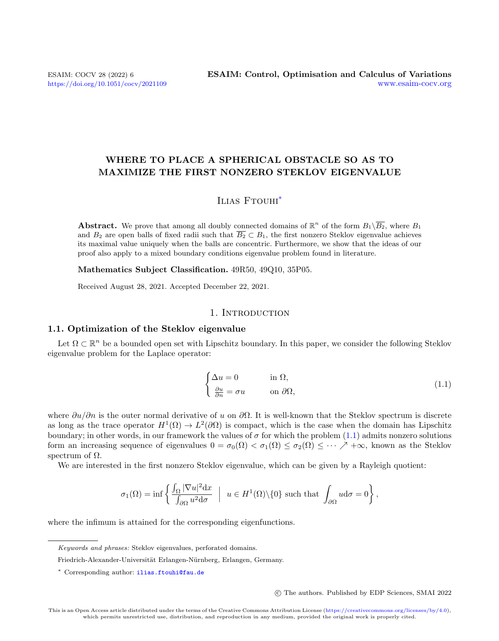# WHERE TO PLACE A SPHERICAL OBSTACLE SO AS TO MAXIMIZE THE FIRST NONZERO STEKLOV EIGENVALUE

# ILIAS FTOUHI<sup>[\\*](#page-0-0)</sup>

**Abstract.** We prove that among all doubly connected domains of  $\mathbb{R}^n$  of the form  $B_1\backslash\overline{B_2}$ , where  $B_1$ and  $B_2$  are open balls of fixed radii such that  $\overline{B_2} \subset B_1$ , the first nonzero Steklov eigenvalue achieves its maximal value uniquely when the balls are concentric. Furthermore, we show that the ideas of our proof also apply to a mixed boundary conditions eigenvalue problem found in literature.

Mathematics Subject Classification. 49R50, 49Q10, 35P05.

Received August 28, 2021. Accepted December 22, 2021.

## 1. INTRODUCTION

## 1.1. Optimization of the Steklov eigenvalue

Let  $\Omega \subset \mathbb{R}^n$  be a bounded open set with Lipschitz boundary. In this paper, we consider the following Steklov eigenvalue problem for the Laplace operator:

<span id="page-0-1"></span>
$$
\begin{cases} \Delta u = 0 & \text{in } \Omega, \\ \frac{\partial u}{\partial n} = \sigma u & \text{on } \partial \Omega, \end{cases}
$$
 (1.1)

where  $\partial u/\partial n$  is the outer normal derivative of u on  $\partial \Omega$ . It is well-known that the Steklov spectrum is discrete as long as the trace operator  $H^1(\Omega) \to L^2(\partial\Omega)$  is compact, which is the case when the domain has Lipschitz boundary; in other words, in our framework the values of  $\sigma$  for which the problem [\(1.1\)](#page-0-1) admits nonzero solutions form an increasing sequence of eigenvalues  $0 = \sigma_0(\Omega) < \sigma_1(\Omega) \leq \sigma_2(\Omega) \leq \cdots \nearrow +\infty$ , known as the Steklov spectrum of  $Ω$ .

We are interested in the first nonzero Steklov eigenvalue, which can be given by a Rayleigh quotient:

$$
\sigma_1(\Omega) = \inf \left\{ \frac{\int_{\Omega} |\nabla u|^2 \mathrm{d}x}{\int_{\partial \Omega} u^2 \mathrm{d}\sigma} \ \Big| \ u \in H^1(\Omega) \backslash \{0\} \text{ such that } \int_{\partial \Omega} u \mathrm{d}\sigma = 0 \right\},\
$$

where the infimum is attained for the corresponding eigenfunctions.

c The authors. Published by EDP Sciences, SMAI 2022

<span id="page-0-0"></span>Keywords and phrases: Steklov eigenvalues, perforated domains.

Friedrich-Alexander-Universität Erlangen-Nürnberg, Erlangen, Germany.

<sup>\*</sup> Corresponding author: [ilias.ftouhi@fau.de](mailto:ilias.ftouhi@fau.de)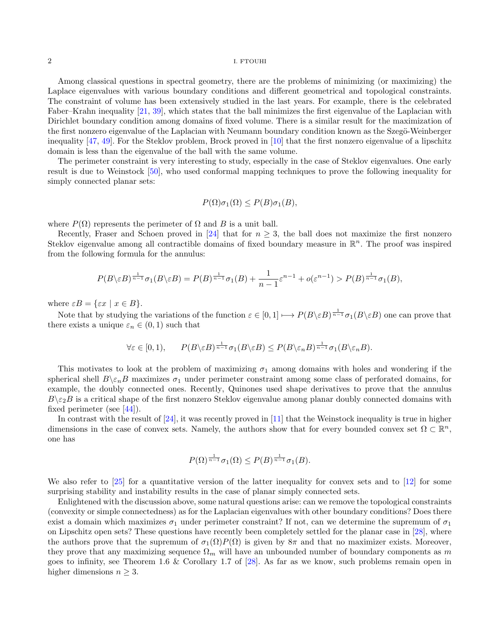Among classical questions in spectral geometry, there are the problems of minimizing (or maximizing) the Laplace eigenvalues with various boundary conditions and different geometrical and topological constraints. The constraint of volume has been extensively studied in the last years. For example, there is the celebrated Faber–Krahn inequality [\[21,](#page-19-0) [39\]](#page-20-0), which states that the ball minimizes the first eigenvalue of the Laplacian with Dirichlet boundary condition among domains of fixed volume. There is a similar result for the maximization of the first nonzero eigenvalue of the Laplacian with Neumann boundary condition known as the Szegö-Weinberger inequality [\[47,](#page-20-1) [49\]](#page-20-2). For the Steklov problem, Brock proved in [\[10\]](#page-19-1) that the first nonzero eigenvalue of a lipschitz domain is less than the eigenvalue of the ball with the same volume.

The perimeter constraint is very interesting to study, especially in the case of Steklov eigenvalues. One early result is due to Weinstock [\[50\]](#page-20-3), who used conformal mapping techniques to prove the following inequality for simply connected planar sets:

$$
P(\Omega)\sigma_1(\Omega) \le P(B)\sigma_1(B),
$$

where  $P(\Omega)$  represents the perimeter of  $\Omega$  and B is a unit ball.

Recently, Fraser and Schoen proved in [\[24\]](#page-19-2) that for  $n \geq 3$ , the ball does not maximize the first nonzero Steklov eigenvalue among all contractible domains of fixed boundary measure in  $\mathbb{R}^n$ . The proof was inspired from the following formula for the annulus:

$$
P(B\setminus \varepsilon B)^{\frac{1}{n-1}} \sigma_1(B\setminus \varepsilon B) = P(B)^{\frac{1}{n-1}} \sigma_1(B) + \frac{1}{n-1} \varepsilon^{n-1} + o(\varepsilon^{n-1}) > P(B)^{\frac{1}{n-1}} \sigma_1(B),
$$

where  $\varepsilon B = \{\varepsilon x \mid x \in B\}.$ 

Note that by studying the variations of the function  $\varepsilon \in [0,1] \longmapsto P(B \setminus \varepsilon B)^{\frac{1}{n-1}} \sigma_1(B \setminus \varepsilon B)$  one can prove that there exists a unique  $\varepsilon_n \in (0,1)$  such that

$$
\forall \varepsilon \in [0,1), \qquad P(B \setminus \varepsilon B)^{\frac{1}{n-1}} \sigma_1(B \setminus \varepsilon B) \le P(B \setminus \varepsilon_n B)^{\frac{1}{n-1}} \sigma_1(B \setminus \varepsilon_n B).
$$

This motivates to look at the problem of maximizing  $\sigma_1$  among domains with holes and wondering if the spherical shell  $B\backslash \varepsilon_nB$  maximizes  $\sigma_1$  under perimeter constraint among some class of perforated domains, for example, the doubly connected ones. Recently, Quinones used shape derivatives to prove that the annulus  $B\backslash \varepsilon_2B$  is a critical shape of the first nonzero Steklov eigenvalue among planar doubly connected domains with fixed perimeter (see [\[44\]](#page-20-4)).

In contrast with the result of [\[24\]](#page-19-2), it was recently proved in [\[11\]](#page-19-3) that the Weinstock inequality is true in higher dimensions in the case of convex sets. Namely, the authors show that for every bounded convex set  $\Omega \subset \mathbb{R}^n$ , one has

$$
P(\Omega)^{\frac{1}{n-1}}\sigma_1(\Omega) \le P(B)^{\frac{1}{n-1}}\sigma_1(B).
$$

We also refer to [\[25\]](#page-19-4) for a quantitative version of the latter inequality for convex sets and to [\[12\]](#page-19-5) for some surprising stability and instability results in the case of planar simply connected sets.

Enlightened with the discussion above, some natural questions arise: can we remove the topological constraints (convexity or simple connectedness) as for the Laplacian eigenvalues with other boundary conditions? Does there exist a domain which maximizes  $\sigma_1$  under perimeter constraint? If not, can we determine the supremum of  $\sigma_1$ on Lipschitz open sets? These questions have recently been completely settled for the planar case in [\[28\]](#page-20-5), where the authors prove that the supremum of  $\sigma_1(\Omega)P(\Omega)$  is given by  $8\pi$  and that no maximizer exists. Moreover, they prove that any maximizing sequence  $\Omega_m$  will have an unbounded number of boundary components as m goes to infinity, see Theorem 1.6 & Corollary 1.7 of [\[28\]](#page-20-5). As far as we know, such problems remain open in higher dimensions  $n \geq 3$ .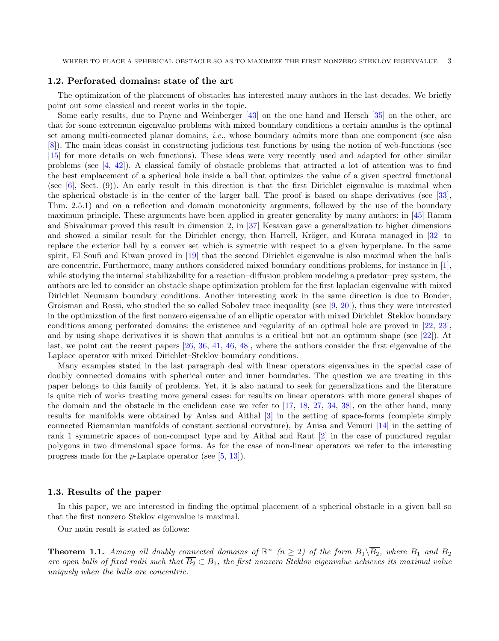#### 1.2. Perforated domains: state of the art

The optimization of the placement of obstacles has interested many authors in the last decades. We briefly point out some classical and recent works in the topic.

Some early results, due to Payne and Weinberger [\[43\]](#page-20-6) on the one hand and Hersch [\[35\]](#page-20-7) on the other, are that for some extremum eigenvalue problems with mixed boundary conditions a certain annulus is the optimal set among multi-connected planar domains, i.e., whose boundary admits more than one component (see also [\[8\]](#page-19-6)). The main ideas consist in constructing judicious test functions by using the notion of web-functions (see [\[15\]](#page-19-7) for more details on web functions). These ideas were very recently used and adapted for other similar problems (see [\[4,](#page-19-8) [42\]](#page-20-8)). A classical family of obstacle problems that attracted a lot of attention was to find the best emplacement of a spherical hole inside a ball that optimizes the value of a given spectral functional (see [\[6\]](#page-19-9), Sect. (9)). An early result in this direction is that the first Dirichlet eigenvalue is maximal when the spherical obstacle is in the center of the larger ball. The proof is based on shape derivatives (see [\[33\]](#page-20-9), Thm. 2.5.1) and on a reflection and domain monotonicity arguments, followed by the use of the boundary maximum principle. These arguments have been applied in greater generality by many authors: in [\[45\]](#page-20-10) Ramm and Shivakumar proved this result in dimension 2, in [\[37\]](#page-20-11) Kesavan gave a generalization to higher dimensions and showed a similar result for the Dirichlet energy, then Harrell, Kröger, and Kurata managed in [\[32\]](#page-20-12) to replace the exterior ball by a convex set which is symetric with respect to a given hyperplane. In the same spirit, El Soufi and Kiwan proved in [\[19\]](#page-19-10) that the second Dirichlet eigenvalue is also maximal when the balls are concentric. Furthermore, many authors considered mixed boundary conditions problems, for instance in [\[1\]](#page-19-11), while studying the internal stabilizability for a reaction–diffusion problem modeling a predator–prey system, the authors are led to consider an obstacle shape optimization problem for the first laplacian eigenvalue with mixed Dirichlet–Neumann boundary conditions. Another interesting work in the same direction is due to Bonder, Groisman and Rossi, who studied the so called Sobolev trace inequality (see [\[9,](#page-19-12) [20\]](#page-19-13)), thus they were interested in the optimization of the first nonzero eigenvalue of an elliptic operator with mixed Dirichlet–Steklov boundary conditions among perforated domains: the existence and regularity of an optimal hole are proved in [\[22,](#page-19-14) [23\]](#page-19-15), and by using shape derivatives it is shown that annulus is a critical but not an optimum shape (see [\[22\]](#page-19-14)). At last, we point out the recent papers [\[26,](#page-19-16) [36,](#page-20-13) [41,](#page-20-14) [46,](#page-20-15) [48\]](#page-20-16), where the authors consider the first eigenvalue of the Laplace operator with mixed Dirichlet–Steklov boundary conditions.

Many examples stated in the last paragraph deal with linear operators eigenvalues in the special case of doubly connected domains with spherical outer and inner boundaries. The question we are treating in this paper belongs to this family of problems. Yet, it is also natural to seek for generalizations and the literature is quite rich of works treating more general cases: for results on linear operators with more general shapes of the domain and the obstacle in the euclidean case we refer to [\[17,](#page-19-17) [18,](#page-19-18) [27,](#page-19-19) [34,](#page-20-17) [38\]](#page-20-18), on the other hand, many results for manifolds were obtained by Anisa and Aithal [\[3\]](#page-19-20) in the setting of space-forms (complete simply connected Riemannian manifolds of constant sectional curvature), by Anisa and Vemuri [\[14\]](#page-19-21) in the setting of rank 1 symmetric spaces of non-compact type and by Aithal and Raut [\[2\]](#page-19-22) in the case of punctured regular polygons in two dimensional space forms. As for the case of non-linear operators we refer to the interesting progress made for the p-Laplace operator (see [\[5,](#page-19-23) [13\]](#page-19-24)).

#### 1.3. Results of the paper

In this paper, we are interested in finding the optimal placement of a spherical obstacle in a given ball so that the first nonzero Steklov eigenvalue is maximal.

Our main result is stated as follows:

<span id="page-2-0"></span>**Theorem 1.1.** Among all doubly connected domains of  $\mathbb{R}^n$  ( $n \geq 2$ ) of the form  $B_1\setminus\overline{B_2}$ , where  $B_1$  and  $B_2$ are open balls of fixed radii such that  $\overline{B_2} \subset B_1$ , the first nonzero Steklov eigenvalue achieves its maximal value uniquely when the balls are concentric.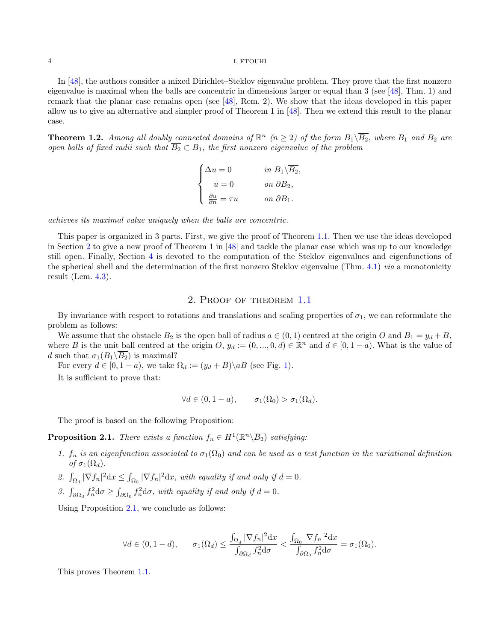In [\[48\]](#page-20-16), the authors consider a mixed Dirichlet–Steklov eigenvalue problem. They prove that the first nonzero eigenvalue is maximal when the balls are concentric in dimensions larger or equal than  $3$  (see [\[48\]](#page-20-16), Thm. 1) and remark that the planar case remains open (see [\[48\]](#page-20-16), Rem. 2). We show that the ideas developed in this paper allow us to give an alternative and simpler proof of Theorem 1 in [\[48\]](#page-20-16). Then we extend this result to the planar case.

<span id="page-3-2"></span>**Theorem 1.2.** Among all doubly connected domains of  $\mathbb{R}^n$  ( $n \geq 2$ ) of the form  $B_1\setminus\overline{B_2}$ , where  $B_1$  and  $B_2$  are open balls of fixed radii such that  $\overline{B_2} \subset B_1$ , the first nonzero eigenvalue of the problem

$$
\begin{cases} \Delta u = 0 & \text{in } B_1 \backslash \overline{B_2}, \\ u = 0 & \text{on } \partial B_2, \\ \frac{\partial u}{\partial n} = \tau u & \text{on } \partial B_1. \end{cases}
$$

achieves its maximal value uniquely when the balls are concentric.

This paper is organized in 3 parts. First, we give the proof of Theorem [1.1.](#page-2-0) Then we use the ideas developed in Section [2](#page-3-0) to give a new proof of Theorem 1 in [\[48\]](#page-20-16) and tackle the planar case which was up to our knowledge still open. Finally, Section [4](#page-13-0) is devoted to the computation of the Steklov eigenvalues and eigenfunctions of the spherical shell and the determination of the first nonzero Steklov eigenvalue (Thm. [4.1\)](#page-14-0) via a monotonicity result (Lem. [4.3\)](#page-16-0).

### 2. Proof of theorem [1.1](#page-2-0)

<span id="page-3-0"></span>By invariance with respect to rotations and translations and scaling properties of  $\sigma_1$ , we can reformulate the problem as follows:

We assume that the obstacle  $B_2$  is the open ball of radius  $a \in (0,1)$  centred at the origin O and  $B_1 = y_d + B$ , where B is the unit ball centred at the origin O,  $y_d := (0, ..., 0, d) \in \mathbb{R}^n$  and  $d \in [0, 1 - a)$ . What is the value of d such that  $\sigma_1(B_1\backslash\overline{B_2})$  is maximal?

For every  $d \in [0, 1 - a)$ , we take  $\Omega_d := (y_d + B) \backslash aB$  (see Fig. [1\)](#page-5-0).

It is sufficient to prove that:

$$
\forall d \in (0, 1 - a), \qquad \sigma_1(\Omega_0) > \sigma_1(\Omega_d).
$$

The proof is based on the following Proposition:

<span id="page-3-1"></span>**Proposition 2.1.** There exists a function  $f_n \in H^1(\mathbb{R}^n \setminus \overline{B_2})$  satisfying:

- 1.  $f_n$  is an eigenfunction associated to  $\sigma_1(\Omega_0)$  and can be used as a test function in the variational definition of  $\sigma_1(\Omega_d)$ .
- 2.  $\int_{\Omega_d} |\nabla f_n|^2 dx \leq \int_{\Omega_0} |\nabla f_n|^2 dx$ , with equality if and only if  $d = 0$ .
- 3.  $\int_{\partial\Omega_d} f_n^2 d\sigma \ge \int_{\partial\Omega_0} f_n^2 d\sigma$ , with equality if and only if  $d = 0$ .

Using Proposition [2.1,](#page-3-1) we conclude as follows:

$$
\forall d \in (0, 1-d), \quad \sigma_1(\Omega_d) \le \frac{\int_{\Omega_d} |\nabla f_n|^2 \, dx}{\int_{\partial \Omega_d} f_n^2 \, d\sigma} < \frac{\int_{\Omega_0} |\nabla f_n|^2 \, dx}{\int_{\partial \Omega_0} f_n^2 \, d\sigma} = \sigma_1(\Omega_0).
$$

This proves Theorem [1.1.](#page-2-0)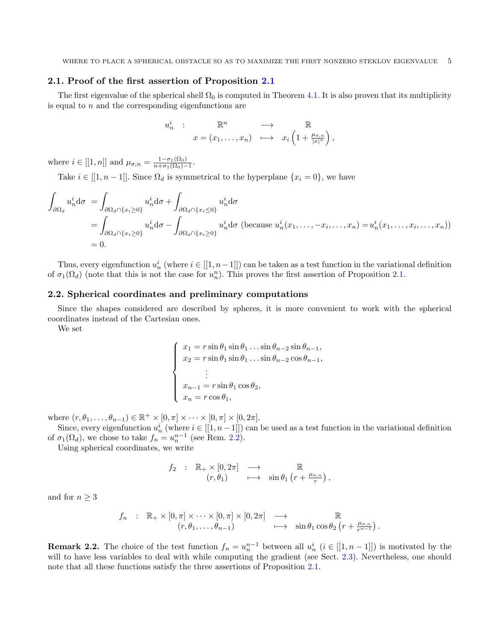## 2.1. Proof of the first assertion of Proposition [2.1](#page-3-1)

The first eigenvalue of the spherical shell  $\Omega_0$  is computed in Theorem [4.1.](#page-14-0) It is also proven that its multiplicity is equal to  $n$  and the corresponding eigenfunctions are

$$
u_n^i : \mathbb{R}^n \longrightarrow \mathbb{R}
$$
  

$$
x = (x_1, \dots, x_n) \longmapsto x_i \left(1 + \frac{\mu_{\sigma,n}}{|x|^n}\right),
$$

where  $i \in [[1, n]]$  and  $\mu_{\sigma, n} = \frac{1 - \sigma_1(\Omega_0)}{n + \sigma_1(\Omega_0)}$  $\frac{1-\sigma_1(\Omega_0)}{n+\sigma_1(\Omega_0)-1}.$ 

Take  $i \in [[1, n-1]]$ . Since  $\Omega_d$  is symmetrical to the hyperplane  $\{x_i = 0\}$ , we have

$$
\int_{\partial\Omega_d} u_n^i d\sigma = \int_{\partial\Omega_d \cap \{x_i \ge 0\}} u_n^i d\sigma + \int_{\partial\Omega_d \cap \{x_i \le 0\}} u_n^i d\sigma
$$
\n
$$
= \int_{\partial\Omega_d \cap \{x_i \ge 0\}} u_n^i d\sigma - \int_{\partial\Omega_d \cap \{x_i \ge 0\}} u_n^i d\sigma \text{ (because } u_n^i(x_1, \dots, -x_i, \dots, x_n) = u_n^i(x_1, \dots, x_i, \dots, x_n))
$$
\n
$$
= 0.
$$

Thus, every eigenfunction  $u_n^i$  (where  $i \in [[1, n-1]])$  can be taken as a test function in the variational definition of  $\sigma_1(\Omega_d)$  (note that this is not the case for  $u_n^n$ ). This proves the first assertion of Proposition [2.1.](#page-3-1)

## 2.2. Spherical coordinates and preliminary computations

Since the shapes considered are described by spheres, it is more convenient to work with the spherical coordinates instead of the Cartesian ones.

We set

$$
\begin{cases}\n x_1 = r \sin \theta_1 \sin \theta_1 \dots \sin \theta_{n-2} \sin \theta_{n-1}, \\
 x_2 = r \sin \theta_1 \sin \theta_1 \dots \sin \theta_{n-2} \cos \theta_{n-1}, \\
 \vdots \\
 x_{n-1} = r \sin \theta_1 \cos \theta_2, \\
 x_n = r \cos \theta_1,\n\end{cases}
$$

where  $(r, \theta_1, \ldots, \theta_{n-1}) \in \mathbb{R}^+ \times [0, \pi] \times \cdots \times [0, \pi] \times [0, 2\pi]$ .

Since, every eigenfunction  $u_n^i$  (where  $i \in [[1, n-1]])$  can be used as a test function in the variational definition of  $\sigma_1(\Omega_d)$ , we chose to take  $f_n = u_n^{n-1}$  (see Rem. [2.2\)](#page-4-0).

Using spherical coordinates, we write

$$
f_2 : \mathbb{R}_+ \times [0, 2\pi] \longrightarrow \mathbb{R}
$$
  

$$
(r, \theta_1) \longrightarrow \sin \theta_1 (r + \frac{\mu_{\sigma,n}}{r}),
$$

and for  $n \geq 3$ 

$$
f_n : \mathbb{R}_+ \times [0, \pi] \times \cdots \times [0, \pi] \times [0, 2\pi] \longrightarrow \mathbb{R}
$$
  

$$
(r, \theta_1, \ldots, \theta_{n-1}) \longmapsto \sin \theta_1 \cos \theta_2 \left( r + \frac{\mu_{\sigma, n}}{r^{n-1}} \right).
$$

<span id="page-4-0"></span>**Remark 2.2.** The choice of the test function  $f_n = u_n^{n-1}$  between all  $u_n^i$   $(i \in [[1, n-1]])$  is motivated by the will to have less variables to deal with while computing the gradient (see Sect. [2.3\)](#page-5-1). Nevertheless, one should note that all these functions satisfy the three assertions of Proposition [2.1.](#page-3-1)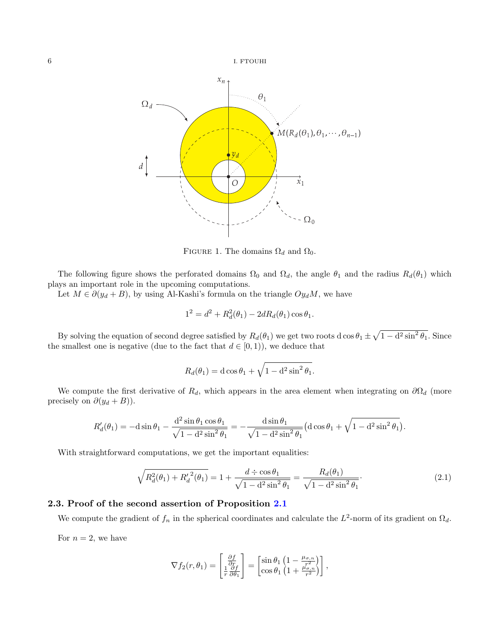

<span id="page-5-0"></span>FIGURE 1. The domains  $\Omega_d$  and  $\Omega_0$ .

The following figure shows the perforated domains  $\Omega_0$  and  $\Omega_d$ , the angle  $\theta_1$  and the radius  $R_d(\theta_1)$  which plays an important role in the upcoming computations.

Let  $M \in \partial(y_d + B)$ , by using Al-Kashi's formula on the triangle  $Oy_dM$ , we have

$$
1^2 = d^2 + R_d^2(\theta_1) - 2dR_d(\theta_1)\cos\theta_1.
$$

By solving the equation of second degree satisfied by  $R_d(\theta_1)$  we get two roots d cos  $\theta_1 \pm \sqrt{1 - d^2 \sin^2 \theta_1}$ . Since the smallest one is negative (due to the fact that  $d \in [0, 1)$ ), we deduce that

$$
R_d(\theta_1) = \mathrm{d}\cos\theta_1 + \sqrt{1 - \mathrm{d}^2\sin^2\theta_1}.
$$

We compute the first derivative of  $R_d$ , which appears in the area element when integrating on  $\partial\Omega_d$  (more precisely on  $\partial(y_d + B)$ ).

$$
R'_d(\theta_1) = -\mathrm{d}\sin\theta_1 - \frac{\mathrm{d}^2\sin\theta_1\cos\theta_1}{\sqrt{1-\mathrm{d}^2\sin^2\theta_1}} = -\frac{\mathrm{d}\sin\theta_1}{\sqrt{1-\mathrm{d}^2\sin^2\theta_1}}\left(\mathrm{d}\cos\theta_1 + \sqrt{1-\mathrm{d}^2\sin^2\theta_1}\right).
$$

With straightforward computations, we get the important equalities:

<span id="page-5-2"></span>
$$
\sqrt{R_d^2(\theta_1) + {R_d'}^2(\theta_1)} = 1 + \frac{d \div \cos \theta_1}{\sqrt{1 - d^2 \sin^2 \theta_1}} = \frac{R_d(\theta_1)}{\sqrt{1 - d^2 \sin^2 \theta_1}}.
$$
\n(2.1)

## <span id="page-5-1"></span>2.3. Proof of the second assertion of Proposition [2.1](#page-3-1)

We compute the gradient of  $f_n$  in the spherical coordinates and calculate the  $L^2$ -norm of its gradient on  $\Omega_d$ .

For  $n = 2$ , we have

$$
\nabla f_2(r,\theta_1) = \begin{bmatrix} \frac{\partial f}{\partial r} \\ \frac{1}{r} \frac{\partial f}{\partial \theta_1} \end{bmatrix} = \begin{bmatrix} \sin \theta_1 \left( 1 - \frac{\mu_{\sigma,n}}{r^2} \right) \\ \cos \theta_1 \left( 1 + \frac{\mu_{\sigma,n}}{r^2} \right) \end{bmatrix},
$$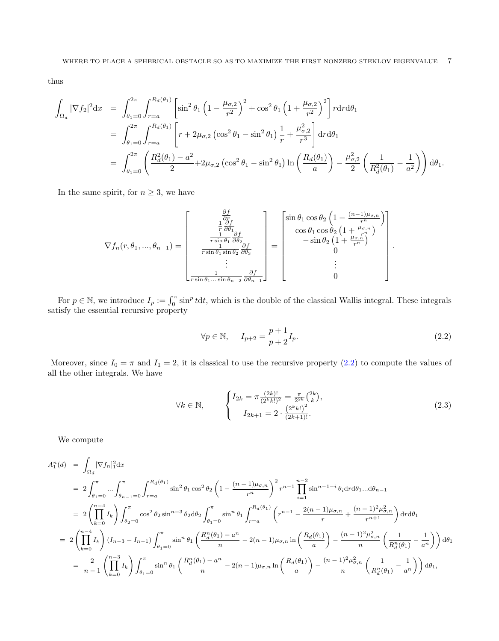thus

$$
\int_{\Omega_d} |\nabla f_2|^2 dx = \int_{\theta_1=0}^{2\pi} \int_{r=a}^{R_d(\theta_1)} \left[ \sin^2 \theta_1 \left( 1 - \frac{\mu_{\sigma,2}}{r^2} \right)^2 + \cos^2 \theta_1 \left( 1 + \frac{\mu_{\sigma,2}}{r^2} \right)^2 \right] r dr d\theta_1
$$
  
\n
$$
= \int_{\theta_1=0}^{2\pi} \int_{r=a}^{R_d(\theta_1)} \left[ r + 2\mu_{\sigma,2} \left( \cos^2 \theta_1 - \sin^2 \theta_1 \right) \frac{1}{r} + \frac{\mu_{\sigma,2}^2}{r^3} \right] dr d\theta_1
$$
  
\n
$$
= \int_{\theta_1=0}^{2\pi} \left( \frac{R_d^2(\theta_1) - a^2}{2} + 2\mu_{\sigma,2} \left( \cos^2 \theta_1 - \sin^2 \theta_1 \right) \ln \left( \frac{R_d(\theta_1)}{a} \right) - \frac{\mu_{\sigma,2}^2}{2} \left( \frac{1}{R_d^2(\theta_1)} - \frac{1}{a^2} \right) \right) d\theta_1.
$$

In the same spirit, for  $n \geq 3$ , we have

$$
\nabla f_n(r,\theta_1,...,\theta_{n-1}) = \begin{bmatrix} \frac{\partial f}{\partial r} \\ \frac{1}{r} \frac{\partial f}{\partial \theta_1} \\ \frac{1}{r \sin \theta_1} \frac{\partial f}{\partial \theta_2} \\ \frac{1}{r \sin \theta_1 \sin \theta_2} \frac{\partial f}{\partial \theta_3} \\ \vdots \\ \frac{1}{r \sin \theta_1 ... \sin \theta_{n-2}} \frac{\partial f}{\partial \theta_{n-1}} \end{bmatrix} = \begin{bmatrix} \sin \theta_1 \cos \theta_2 \left( 1 - \frac{(n-1)\mu_{\sigma,n}}{r^n} \right) \\ \cos \theta_1 \cos \theta_2 \left( 1 + \frac{\mu_{\sigma,n}}{r^n} \right) \\ -\sin \theta_2 \left( 1 + \frac{\mu_{\sigma,n}}{r^n} \right) \\ 0 \\ \vdots \\ 0 \end{bmatrix}.
$$

For  $p \in \mathbb{N}$ , we introduce  $I_p := \int_0^{\pi} \sin^p t dt$ , which is the double of the classical Wallis integral. These integrals satisfy the essential recursive property

<span id="page-6-0"></span>
$$
\forall p \in \mathbb{N}, \quad I_{p+2} = \frac{p+1}{p+2} I_p. \tag{2.2}
$$

Moreover, since  $I_0 = \pi$  and  $I_1 = 2$ , it is classical to use the recursive property [\(2.2\)](#page-6-0) to compute the values of all the other integrals. We have

<span id="page-6-1"></span>
$$
\forall k \in \mathbb{N}, \qquad \begin{cases} I_{2k} = \pi \frac{(2k)!}{(2^k k!)^2} = \frac{\pi}{2^{2k}} {2k \choose k}, \\ I_{2k+1} = 2 \cdot \frac{(2^k k!)^2}{(2k+1)!}. \end{cases} \tag{2.3}
$$

We compute

$$
A_1^n(d) = \int_{\Omega_d} [\nabla f_n]_1^2 dx
$$
  
\n
$$
= 2 \int_{\theta_1=0}^{\pi} \dots \int_{\theta_{n-1}=0}^{\pi} \int_{r=a}^{R_d(\theta_1)} \sin^2 \theta_1 \cos^2 \theta_2 \left(1 - \frac{(n-1)\mu_{\sigma,n}}{r^n}\right)^2 r^{n-1} \prod_{i=1}^{n-2} \sin^{n-1-i} \theta_i \text{d}r \text{d}\theta_1 \dots \text{d}\theta_{n-1}
$$
  
\n
$$
= 2 \left( \prod_{k=0}^{n-4} I_k \right) \int_{\theta_2=0}^{\pi} \cos^2 \theta_2 \sin^{n-3} \theta_2 \text{d}\theta_2 \int_{\theta_1=0}^{\pi} \sin^n \theta_1 \int_{r=a}^{R_d(\theta_1)} \left( r^{n-1} - \frac{2(n-1)\mu_{\sigma,n}}{r} + \frac{(n-1)^2 \mu_{\sigma,n}^2}{r^{n+1}} \right) \text{d}r \text{d}\theta_1
$$
  
\n
$$
= 2 \left( \prod_{k=0}^{n-4} I_k \right) (I_{n-3} - I_{n-1}) \int_{\theta_1=0}^{\pi} \sin^n \theta_1 \left( \frac{R_d^n(\theta_1) - a^n}{n} - 2(n-1)\mu_{\sigma,n} \ln \left( \frac{R_d(\theta_1)}{a} \right) - \frac{(n-1)^2 \mu_{\sigma,n}^2}{n} \left( \frac{1}{R_d^n(\theta_1)} - \frac{1}{a^n} \right) \right) \text{d}\theta_1
$$
  
\n
$$
= \frac{2}{n-1} \left( \prod_{k=0}^{n-3} I_k \right) \int_{\theta_1=0}^{\pi} \sin^n \theta_1 \left( \frac{R_d^n(\theta_1) - a^n}{n} - 2(n-1)\mu_{\sigma,n} \ln \left( \frac{R_d(\theta_1)}{a} \right) - \frac{(n-1)^2 \mu_{\sigma,n}^2}{n} \left( \frac{1}{R_d^n(\theta_1)} - \frac{1}{a^n} \right) \right) \text{d}\theta_1,
$$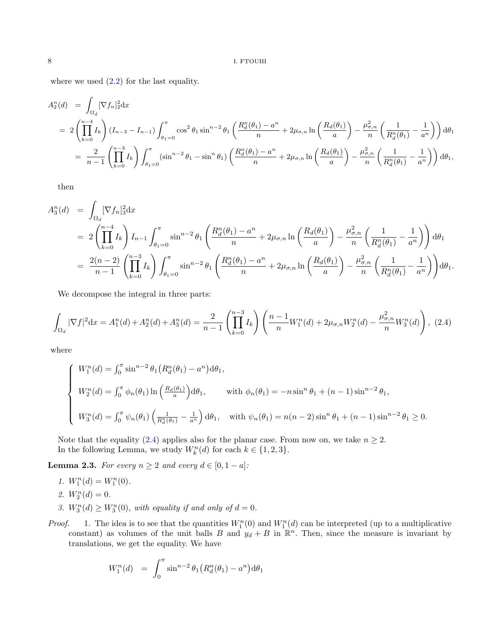where we used  $(2.2)$  for the last equality.

$$
A_2^n(d) = \int_{\Omega_d} [\nabla f_n]_2^2 dx
$$
  
=  $2 \left( \prod_{k=0}^{n-4} I_k \right) (I_{n-3} - I_{n-1}) \int_{\theta_1=0}^{\pi} \cos^2 \theta_1 \sin^{n-2} \theta_1 \left( \frac{R_d^n(\theta_1) - a^n}{n} + 2\mu_{\sigma,n} \ln \left( \frac{R_d(\theta_1)}{a} \right) - \frac{\mu_{\sigma,n}^2}{n} \left( \frac{1}{R_d^n(\theta_1)} - \frac{1}{a^n} \right) \right) d\theta_1$   
=  $\frac{2}{n-1} \left( \prod_{k=0}^{n-3} I_k \right) \int_{\theta_1=0}^{\pi} (\sin^{n-2} \theta_1 - \sin^n \theta_1) \left( \frac{R_d^n(\theta_1) - a^n}{n} + 2\mu_{\sigma,n} \ln \left( \frac{R_d(\theta_1)}{a} \right) - \frac{\mu_{\sigma,n}^2}{n} \left( \frac{1}{R_d^n(\theta_1)} - \frac{1}{a^n} \right) \right) d\theta_1$ ,

then

$$
A_3^n(d) = \int_{\Omega_d} [\nabla f_n]_3^2 dx
$$
  
=  $2 \left( \prod_{k=0}^{n-4} I_k \right) I_{n-1} \int_{\theta_{1}=0}^{\pi} \sin^{n-2} \theta_1 \left( \frac{R_d^n(\theta_1) - a^n}{n} + 2\mu_{\sigma,n} \ln \left( \frac{R_d(\theta_1)}{a} \right) - \frac{\mu_{\sigma,n}^2}{n} \left( \frac{1}{R_d^n(\theta_1)} - \frac{1}{a^n} \right) \right) d\theta_1$   
=  $\frac{2(n-2)}{n-1} \left( \prod_{k=0}^{n-3} I_k \right) \int_{\theta_1=0}^{\pi} \sin^{n-2} \theta_1 \left( \frac{R_d^n(\theta_1) - a^n}{n} + 2\mu_{\sigma,n} \ln \left( \frac{R_d(\theta_1)}{a} \right) - \frac{\mu_{\sigma,n}^2}{n} \left( \frac{1}{R_d^n(\theta_1)} - \frac{1}{a^n} \right) \right) d\theta_1.$ 

We decompose the integral in three parts:

<span id="page-7-0"></span>
$$
\int_{\Omega_d} |\nabla f|^2 dx = A_1^n(d) + A_2^n(d) + A_3^n(d) = \frac{2}{n-1} \left( \prod_{k=0}^{n-3} I_k \right) \left( \frac{n-1}{n} W_1^n(d) + 2\mu_{\sigma,n} W_2^n(d) - \frac{\mu_{\sigma,n}^2}{n} W_3^n(d) \right), (2.4)
$$

where

$$
\begin{cases}\nW_1^n(d) = \int_0^{\pi} \sin^{n-2} \theta_1 \left( R_d^n(\theta_1) - a^n \right) d\theta_1, \\
W_2^n(d) = \int_0^{\pi} \phi_n(\theta_1) \ln \left( \frac{R_d(\theta_1)}{a} \right) d\theta_1, \\
W_3^n(d) = \int_0^{\pi} \psi_n(\theta_1) \left( \frac{1}{R_d^n(\theta_1)} - \frac{1}{a^n} \right) d\theta_1, \quad \text{with } \psi_n(\theta_1) = n(n-2) \sin^n \theta_1 + (n-1) \sin^{n-2} \theta_1 \ge 0.\n\end{cases}
$$

Note that the equality [\(2.4\)](#page-7-0) applies also for the planar case. From now on, we take  $n \geq 2$ . In the following Lemma, we study  $W_k^n(d)$  for each  $k \in \{1, 2, 3\}$ .

<span id="page-7-1"></span>**Lemma 2.3.** For every  $n \geq 2$  and every  $d \in [0, 1 - a]$ :

- 1.  $W_1^n(d) = W_1^n(0)$ . 2.  $W_2^n(d) = 0.$ 3.  $W_3^n(d) \ge W_3^n(0)$ , with equality if and only of  $d = 0$ .
- *Proof.* 1. The idea is to see that the quantities  $W_1^n(0)$  and  $W_1^n(d)$  can be interpreted (up to a multiplicative constant) as volumes of the unit balls B and  $y_d + B$  in  $\mathbb{R}^n$ . Then, since the measure is invariant by translations, we get the equality. We have

$$
W_1^n(d) = \int_0^{\pi} \sin^{n-2} \theta_1 (R_d^n(\theta_1) - a^n) d\theta_1
$$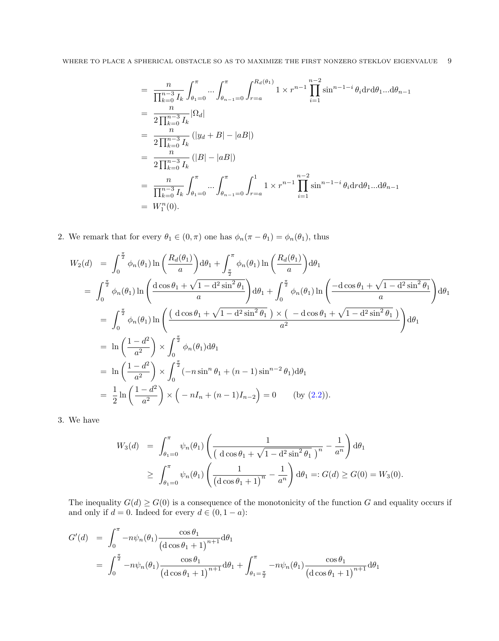$$
= \frac{n}{\prod_{k=0}^{n-3} I_k} \int_{\theta_1=0}^{\pi} \dots \int_{\theta_{n-1}=0}^{\pi} \int_{r=a}^{R_d(\theta_1)} 1 \times r^{n-1} \prod_{i=1}^{n-2} \sin^{n-1-i} \theta_i \mathrm{d}r \mathrm{d}\theta_1 \dots \mathrm{d}\theta_{n-1}
$$
  
\n
$$
= \frac{n}{2 \prod_{k=0}^{n-3} I_k} |\Omega_d|
$$
  
\n
$$
= \frac{n}{2 \prod_{k=0}^{n-3} I_k} (|y_d + B| - |aB|)
$$
  
\n
$$
= \frac{n}{2 \prod_{k=0}^{n-3} I_k} (|B| - |aB|)
$$
  
\n
$$
= \frac{n}{\prod_{k=0}^{n-3} I_k} \int_{\theta_1=0}^{\pi} \dots \int_{\theta_{n-1}=0}^{\pi} \int_{r=a}^{1} 1 \times r^{n-1} \prod_{i=1}^{n-2} \sin^{n-1-i} \theta_i \mathrm{d}r \mathrm{d}\theta_1 \dots \mathrm{d}\theta_{n-1}
$$
  
\n
$$
= W_1^n(0).
$$

2. We remark that for every  $\theta_1 \in (0, \pi)$  one has  $\phi_n(\pi - \theta_1) = \phi_n(\theta_1)$ , thus

$$
W_{2}(d) = \int_{0}^{\frac{\pi}{2}} \phi_{n}(\theta_{1}) \ln\left(\frac{R_{d}(\theta_{1})}{a}\right) d\theta_{1} + \int_{\frac{\pi}{2}}^{\pi} \phi_{n}(\theta_{1}) \ln\left(\frac{R_{d}(\theta_{1})}{a}\right) d\theta_{1} = \int_{0}^{\frac{\pi}{2}} \phi_{n}(\theta_{1}) \ln\left(\frac{d\cos\theta_{1} + \sqrt{1 - d^{2}\sin^{2}\theta_{1}}}{a}\right) d\theta_{1} + \int_{0}^{\frac{\pi}{2}} \phi_{n}(\theta_{1}) \ln\left(\frac{-d\cos\theta_{1} + \sqrt{1 - d^{2}\sin^{2}\theta_{1}}}{a}\right) d\theta_{1} = \int_{0}^{\frac{\pi}{2}} \phi_{n}(\theta_{1}) \ln\left(\frac{(d\cos\theta_{1} + \sqrt{1 - d^{2}\sin^{2}\theta_{1}})}{a^{2}} \times (-d\cos\theta_{1} + \sqrt{1 - d^{2}\sin^{2}\theta_{1}})\right) d\theta_{1} = \ln\left(\frac{1 - d^{2}}{a^{2}}\right) \times \int_{0}^{\frac{\pi}{2}} \phi_{n}(\theta_{1}) d\theta_{1} = \ln\left(\frac{1 - d^{2}}{a^{2}}\right) \times \int_{0}^{\frac{\pi}{2}} (-n\sin^{n}\theta_{1} + (n - 1)\sin^{n-2}\theta_{1}) d\theta_{1} = \frac{1}{2} \ln\left(\frac{1 - d^{2}}{a^{2}}\right) \times \left(-nI_{n} + (n - 1)I_{n-2}\right) = 0 \qquad \text{(by (2.2))}.
$$

3. We have

$$
W_3(d) = \int_{\theta_1=0}^{\pi} \psi_n(\theta_1) \left( \frac{1}{\left( \frac{d \cos \theta_1 + \sqrt{1 - d^2 \sin^2 \theta_1}}{1} \right)^n} - \frac{1}{a^n} \right) d\theta_1
$$
  
\n
$$
\geq \int_{\theta_1=0}^{\pi} \psi_n(\theta_1) \left( \frac{1}{\left( \frac{d \cos \theta_1 + 1}{1} \right)^n} - \frac{1}{a^n} \right) d\theta_1 =: G(d) \geq G(0) = W_3(0).
$$

The inequality  $G(d) \geq G(0)$  is a consequence of the monotonicity of the function G and equality occurs if and only if  $d = 0$ . Indeed for every  $d \in (0, 1 - a)$ :

$$
G'(d) = \int_0^{\pi} -n\psi_n(\theta_1) \frac{\cos \theta_1}{(\cos \theta_1 + 1)^{n+1}} d\theta_1
$$
  
= 
$$
\int_0^{\frac{\pi}{2}} -n\psi_n(\theta_1) \frac{\cos \theta_1}{(\cos \theta_1 + 1)^{n+1}} d\theta_1 + \int_{\theta_1 = \frac{\pi}{2}}^{\pi} -n\psi_n(\theta_1) \frac{\cos \theta_1}{(\cos \theta_1 + 1)^{n+1}} d\theta_1
$$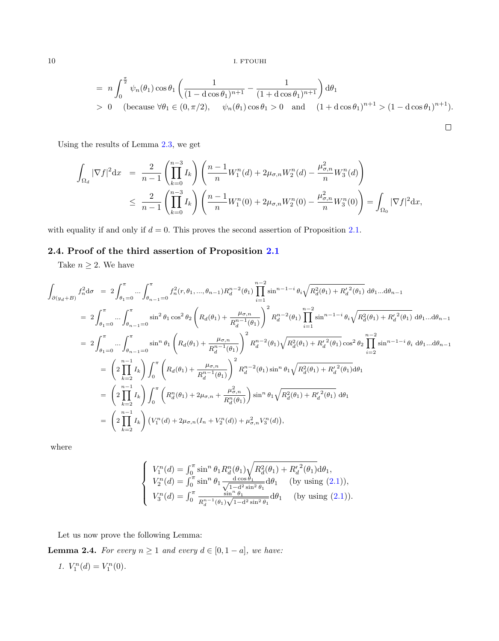$$
= n \int_0^{\frac{\pi}{2}} \psi_n(\theta_1) \cos \theta_1 \left( \frac{1}{(1 - d \cos \theta_1)^{n+1}} - \frac{1}{(1 + d \cos \theta_1)^{n+1}} \right) d\theta_1
$$
  
> 0 (because  $\forall \theta_1 \in (0, \pi/2)$ ,  $\psi_n(\theta_1) \cos \theta_1 > 0$  and  $(1 + d \cos \theta_1)^{n+1} > (1 - d \cos \theta_1)^{n+1}$ ).

Using the results of Lemma [2.3,](#page-7-1) we get

$$
\int_{\Omega_d} |\nabla f|^2 dx = \frac{2}{n-1} \left( \prod_{k=0}^{n-3} I_k \right) \left( \frac{n-1}{n} W_1^n(d) + 2\mu_{\sigma,n} W_2^n(d) - \frac{\mu_{\sigma,n}^2}{n} W_3^n(d) \right)
$$
  

$$
\leq \frac{2}{n-1} \left( \prod_{k=0}^{n-3} I_k \right) \left( \frac{n-1}{n} W_1^n(0) + 2\mu_{\sigma,n} W_2^n(0) - \frac{\mu_{\sigma,n}^2}{n} W_3^n(0) \right) = \int_{\Omega_0} |\nabla f|^2 dx,
$$

with equality if and only if  $d = 0$ . This proves the second assertion of Proposition [2.1.](#page-3-1)

# 2.4. Proof of the third assertion of Proposition [2.1](#page-3-1)

Take  $n \geq 2$ . We have

$$
\int_{\partial(y_d+B)} f_n^2 d\sigma = 2 \int_{\theta_1=0}^{\pi} \dots \int_{\theta_{n-1}=0}^{\pi} f_n^2(r, \theta_1, ..., \theta_{n-1}) R_d^{n-2}(\theta_1) \prod_{i=1}^{n-2} \sin^{n-1-i} \theta_i \sqrt{R_d^2(\theta_1) + R_d^2(\theta_1)} d\theta_1 ... d\theta_{n-1}
$$
\n
$$
= 2 \int_{\theta_1=0}^{\pi} \dots \int_{\theta_{n-1}=0}^{\pi} \sin^2 \theta_1 \cos^2 \theta_2 \left( R_d(\theta_1) + \frac{\mu_{\sigma,n}}{R_d^{n-1}(\theta_1)} \right)^2 R_d^{n-2}(\theta_1) \prod_{i=1}^{n-2} \sin^{n-1-i} \theta_i \sqrt{R_d^2(\theta_1) + R_d^2(\theta_1)} d\theta_1 ... d\theta_{n-1}
$$
\n
$$
= 2 \int_{\theta_1=0}^{\pi} \dots \int_{\theta_{n-1}=0}^{\pi} \sin^n \theta_1 \left( R_d(\theta_1) + \frac{\mu_{\sigma,n}}{R_d^{n-1}(\theta_1)} \right)^2 R_d^{n-2}(\theta_1) \sqrt{R_d^2(\theta_1) + R_d^2(\theta_1)} \cos^2 \theta_2 \prod_{i=2}^{n-2} \sin^{n-1-i} \theta_i d\theta_1 ... d\theta_{n-1}
$$
\n
$$
= \left( 2 \prod_{k=2}^{n-1} I_k \right) \int_0^{\pi} \left( R_d(\theta_1) + \frac{\mu_{\sigma,n}}{R_d^{n-1}(\theta_1)} \right)^2 R_d^{n-2}(\theta_1) \sin^n \theta_1 \sqrt{R_d^2(\theta_1) + R_d^2(\theta_1)} d\theta_1
$$
\n
$$
= \left( 2 \prod_{k=2}^{n-1} I_k \right) \int_0^{\pi} \left( R_d^2(\theta_1) + 2\mu_{\sigma,n} + \frac{\mu_{\sigma,n}^2}{R_d^n(\theta_1)} \right) \sin^n \theta_1 \sqrt{R_d^2(\theta_1) + R_d^2(\theta_1)} d\theta_1
$$
\n
$$
= \left( 2 \prod_{k=2}^{n-1} I_k \right) \left( V_1^n
$$

where

$$
\begin{cases}\nV_1^n(d) = \int_0^{\pi} \sin^n \theta_1 R_d^n(\theta_1) \sqrt{R_d^2(\theta_1) + {R_d'}^2(\theta_1)} d\theta_1, \\
V_2^n(d) = \int_0^{\pi} \sin^n \theta_1 \frac{d \cos \theta_1}{\sqrt{1 - d^2 \sin^2 \theta_1}} d\theta_1 \quad \text{(by using (2.1))}, \\
V_3^n(d) = \int_0^{\pi} \frac{\sin^n \theta_1}{R_d^{n-1}(\theta_1) \sqrt{1 - d^2 \sin^2 \theta_1}} d\theta_1 \quad \text{(by using (2.1))}.\n\end{cases}
$$

Let us now prove the following Lemma:

<span id="page-9-0"></span>**Lemma 2.4.** For every  $n \ge 1$  and every  $d \in [0, 1 - a]$ , we have:

$$
\mathit{1.}\;\; V_1^n(d)=V_1^n(0).
$$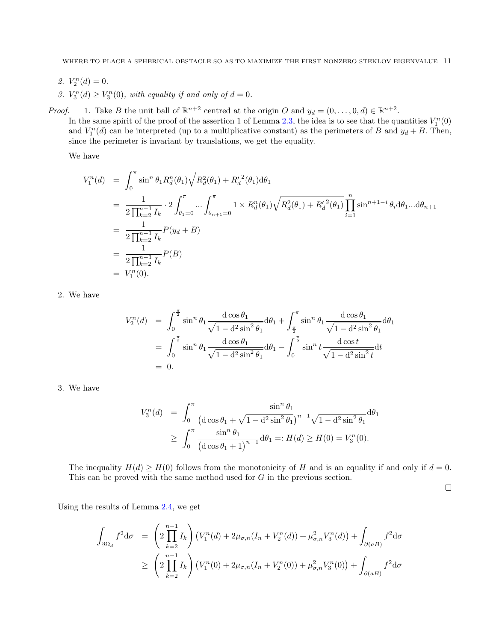- 2.  $V_2^n(d) = 0$ .
- 3.  $V_3^n(d) \geq V_3^n(0)$ , with equality if and only of  $d = 0$ .

*Proof.* 1. Take B the unit ball of  $\mathbb{R}^{n+2}$  centred at the origin O and  $y_d = (0, \ldots, 0, d) \in \mathbb{R}^{n+2}$ . In the same spirit of the proof of the assertion 1 of Lemma [2.3,](#page-7-1) the idea is to see that the quantities  $V_1^n(0)$ and  $V_1^n(d)$  can be interpreted (up to a multiplicative constant) as the perimeters of B and  $y_d + B$ . Then, since the perimeter is invariant by translations, we get the equality.

We have

$$
V_1^n(d) = \int_0^\pi \sin^n \theta_1 R_d^n(\theta_1) \sqrt{R_d^2(\theta_1) + R_d'^2(\theta_1)} d\theta_1
$$
  
\n
$$
= \frac{1}{2 \prod_{k=2}^{n-1} I_k} \cdot 2 \int_{\theta_1=0}^\pi \dots \int_{\theta_{n+1}=0}^\pi 1 \times R_d^n(\theta_1) \sqrt{R_d^2(\theta_1) + R_d'^2(\theta_1)} \prod_{i=1}^n \sin^{n+1-i} \theta_i d\theta_1 ... d\theta_{n+1}
$$
  
\n
$$
= \frac{1}{2 \prod_{k=2}^{n-1} I_k} P(y_d + B)
$$
  
\n
$$
= \frac{1}{2 \prod_{k=2}^{n-1} I_k} P(B)
$$
  
\n
$$
= V_1^n(0).
$$

2. We have

$$
V_2^n(d) = \int_0^{\frac{\pi}{2}} \sin^n \theta_1 \frac{d \cos \theta_1}{\sqrt{1 - d^2 \sin^2 \theta_1}} d\theta_1 + \int_{\frac{\pi}{2}}^{\pi} \sin^n \theta_1 \frac{d \cos \theta_1}{\sqrt{1 - d^2 \sin^2 \theta_1}} d\theta_1
$$
  
= 
$$
\int_0^{\frac{\pi}{2}} \sin^n \theta_1 \frac{d \cos \theta_1}{\sqrt{1 - d^2 \sin^2 \theta_1}} d\theta_1 - \int_0^{\frac{\pi}{2}} \sin^n t \frac{d \cos t}{\sqrt{1 - d^2 \sin^2 t}} dt
$$
  
= 0.

3. We have

$$
V_3^n(d) = \int_0^{\pi} \frac{\sin^n \theta_1}{(\cos \theta_1 + \sqrt{1 - d^2 \sin^2 \theta_1})^{n-1} \sqrt{1 - d^2 \sin^2 \theta_1}} d\theta_1
$$
  
 
$$
\geq \int_0^{\pi} \frac{\sin^n \theta_1}{(\cos \theta_1 + 1)^{n-1}} d\theta_1 =: H(d) \geq H(0) = V_3^n(0).
$$

The inequality  $H(d) \geq H(0)$  follows from the monotonicity of H and is an equality if and only if  $d = 0$ . This can be proved with the same method used for G in the previous section.

 $\Box$ 

Using the results of Lemma [2.4,](#page-9-0) we get

$$
\int_{\partial\Omega_d} f^2 d\sigma = \left(2 \prod_{k=2}^{n-1} I_k\right) \left(V_1^n(d) + 2\mu_{\sigma,n}(I_n + V_2^n(d)) + \mu_{\sigma,n}^2 V_3^n(d)\right) + \int_{\partial(aB)} f^2 d\sigma
$$
\n
$$
\geq \left(2 \prod_{k=2}^{n-1} I_k\right) \left(V_1^n(0) + 2\mu_{\sigma,n}(I_n + V_2^n(0)) + \mu_{\sigma,n}^2 V_3^n(0)\right) + \int_{\partial(aB)} f^2 d\sigma
$$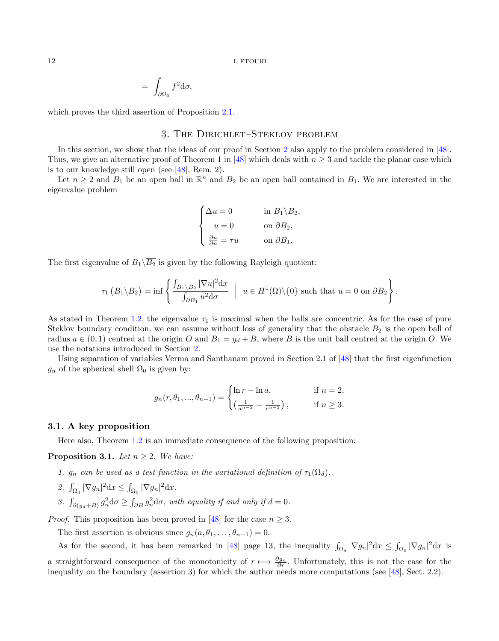$$
= \int_{\partial \Omega_0} f^2 \mathrm{d} \sigma,
$$

which proves the third assertion of Proposition [2.1.](#page-3-1)

## 3. The Dirichlet–Steklov problem

In this section, we show that the ideas of our proof in Section [2](#page-3-0) also apply to the problem considered in [\[48\]](#page-20-16). Thus, we give an alternative proof of Theorem 1 in [\[48\]](#page-20-16) which deals with  $n \geq 3$  and tackle the planar case which is to our knowledge still open (see [\[48\]](#page-20-16), Rem. 2).

Let  $n \geq 2$  and  $B_1$  be an open ball in  $\mathbb{R}^n$  and  $B_2$  be an open ball contained in  $B_1$ . We are interested in the eigenvalue problem

$$
\begin{cases} \Delta u = 0 & \text{in } B_1 \backslash \overline{B_2}, \\ u = 0 & \text{on } \partial B_2, \\ \frac{\partial u}{\partial n} = \tau u & \text{on } \partial B_1. \end{cases}
$$

The first eigenvalue of  $B_1\backslash\overline{B_2}$  is given by the following Rayleigh quotient:

$$
\tau_1\left(B_1\backslash\overline{B_2}\right)=\inf\left\{\frac{\int_{B_1\backslash\overline{B_2}}|\nabla u|^2\mathrm{d}x}{\int_{\partial B_1}u^2\mathrm{d}\sigma}\ \Big|\ u\in H^1(\Omega)\backslash\{0\}\ \text{such that}\ u=0\ \text{on}\ \partial B_2\right\}.
$$

As stated in Theorem [1.2,](#page-3-2) the eigenvalue  $\tau_1$  is maximal when the balls are concentric. As for the case of pure Steklov boundary condition, we can assume without loss of generality that the obstacle  $B_2$  is the open ball of radius  $a \in (0,1)$  centred at the origin O and  $B_1 = y_d + B$ , where B is the unit ball centred at the origin O. We use the notations introduced in Section [2.](#page-3-0)

Using separation of variables Verma and Santhanam proved in Section 2.1 of [\[48\]](#page-20-16) that the first eigenfunction  $g_n$  of the spherical shell  $\Omega_0$  is given by:

$$
g_n(r, \theta_1, ..., \theta_{n-1}) = \begin{cases} \ln r - \ln a, & \text{if } n = 2, \\ \left(\frac{1}{a^{n-2}} - \frac{1}{r^{n-2}}\right), & \text{if } n \ge 3. \end{cases}
$$

#### 3.1. A key proposition

Here also, Theorem [1.2](#page-3-2) is an immediate consequence of the following proposition:

<span id="page-11-0"></span>**Proposition 3.1.** Let  $n \geq 2$ . We have:

- 1.  $g_n$  can be used as a test function in the variational definition of  $\tau_1(\Omega_d)$ .
- 2.  $\int_{\Omega_d} |\nabla g_n|^2 \, dx \leq \int_{\Omega_0} |\nabla g_n|^2 \, dx.$
- 3.  $\int_{\partial(y_d+B)} g_n^2 d\sigma \ge \int_{\partial B} g_n^2 d\sigma$ , with equality if and only if  $d=0$ .

*Proof.* This proposition has been proved in [\[48\]](#page-20-16) for the case  $n \geq 3$ .

The first assertion is obvious since  $g_n(a, \theta_1, \ldots, \theta_{n-1}) = 0$ .

As for the second, it has been remarked in [\[48\]](#page-20-16) page 13, the inequality  $\int_{\Omega_d} |\nabla g_n|^2 dx \leq \int_{\Omega_0} |\nabla g_n|^2 dx$  is a straightforward consequence of the monotonicity of  $r \mapsto \frac{\partial g_n}{\partial r}$ . Unfortunately, this is not the case for the

inequality on the boundary (assertion 3) for which the author needs more computations (see [\[48\]](#page-20-16), Sect. 2.2).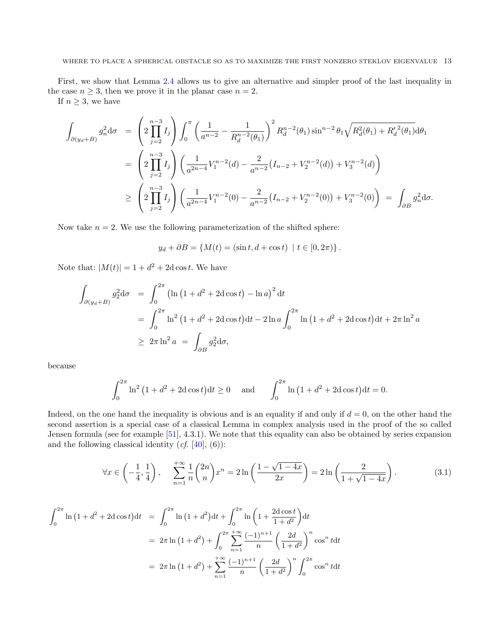First, we show that Lemma [2.4](#page-9-0) allows us to give an alternative and simpler proof of the last inequality in the case  $n \geq 3$ , then we prove it in the planar case  $n = 2$ .

If  $n \geq 3$ , we have

$$
\int_{\partial(y_d+B)} g_n^2 d\sigma = \left(2 \prod_{j=2}^{n-3} I_j \right) \int_0^{\pi} \left(\frac{1}{a^{n-2}} - \frac{1}{R_d^{n-2}(\theta_1)} \right)^2 R_d^{n-2}(\theta_1) \sin^{n-2} \theta_1 \sqrt{R_d^2(\theta_1) + R_d'^2(\theta_1)} d\theta_1
$$
\n
$$
= \left(2 \prod_{j=2}^{n-3} I_j \right) \left(\frac{1}{a^{2n-4}} V_1^{n-2}(d) - \frac{2}{a^{n-2}} (I_{n-2} + V_2^{n-2}(d)) + V_3^{n-2}(d) \right)
$$
\n
$$
\geq \left(2 \prod_{j=2}^{n-3} I_j \right) \left(\frac{1}{a^{2n-4}} V_1^{n-2}(0) - \frac{2}{a^{n-2}} (I_{n-2} + V_2^{n-2}(0)) + V_3^{n-2}(0) \right) = \int_{\partial B} g_n^2 d\sigma.
$$

Now take  $n = 2$ . We use the following parameterization of the shifted sphere:

$$
y_d + \partial B = \{ M(t) = (\sin t, d + \cos t) \mid t \in [0, 2\pi) \}.
$$

Note that:  $|M(t)| = 1 + d^2 + 2d \cos t$ . We have

$$
\int_{\partial(y_d+B)} g_2^2 d\sigma = \int_0^{2\pi} (\ln(1+d^2+2d\cos t) - \ln a)^2 dt
$$
  
= 
$$
\int_0^{2\pi} \ln^2(1+d^2+2d\cos t) dt - 2\ln a \int_0^{2\pi} \ln(1+d^2+2d\cos t) dt + 2\pi \ln^2 a
$$
  

$$
\geq 2\pi \ln^2 a = \int_{\partial B} g_2^2 d\sigma,
$$

because

$$
\int_0^{2\pi} \ln^2 (1 + d^2 + 2d \cos t) dt \ge 0 \quad \text{and} \quad \int_0^{2\pi} \ln (1 + d^2 + 2d \cos t) dt = 0.
$$

Indeed, on the one hand the inequality is obvious and is an equality if and only if  $d = 0$ , on the other hand the second assertion is a special case of a classical Lemma in complex analysis used in the proof of the so called Jensen formula (see for example [\[51\]](#page-20-19), 4.3.1). We note that this equality can also be obtained by series expansion and the following classical identity  $(cf. [40], (6))$  $(cf. [40], (6))$  $(cf. [40], (6))$ :

<span id="page-12-0"></span>
$$
\forall x \in \left( -\frac{1}{4}, \frac{1}{4} \right), \quad \sum_{n=1}^{+\infty} \frac{1}{n} {2n \choose n} x^n = 2 \ln \left( \frac{1 - \sqrt{1 - 4x}}{2x} \right) = 2 \ln \left( \frac{2}{1 + \sqrt{1 - 4x}} \right). \tag{3.1}
$$

$$
\int_0^{2\pi} \ln(1+d^2+2d\cos t)dt = \int_0^{2\pi} \ln(1+d^2)dt + \int_0^{2\pi} \ln\left(1+\frac{2d\cos t}{1+d^2}\right)dt
$$
  
=  $2\pi \ln(1+d^2) + \int_0^{2\pi} \sum_{n=1}^{+\infty} \frac{(-1)^{n+1}}{n} \left(\frac{2d}{1+d^2}\right)^n \cos^n t dt$   
=  $2\pi \ln(1+d^2) + \sum_{n=1}^{+\infty} \frac{(-1)^{n+1}}{n} \left(\frac{2d}{1+d^2}\right)^n \int_0^{2\pi} \cos^n t dt$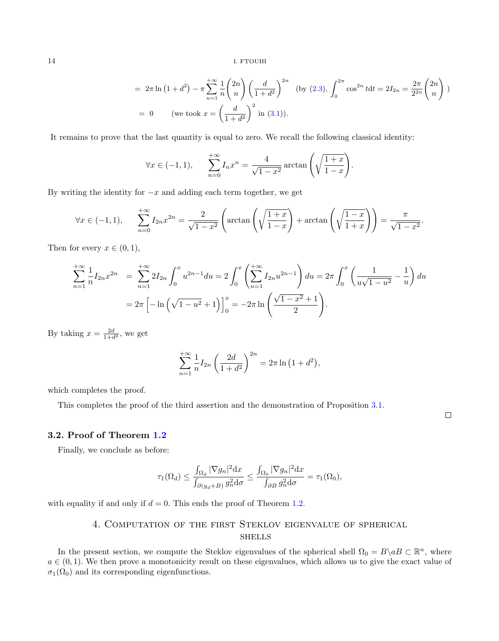$$
= 2\pi \ln (1+d^2) - \pi \sum_{n=1}^{+\infty} \frac{1}{n} {2n \choose n} \left(\frac{d}{1+d^2}\right)^{2n} \text{ (by (2.3), } \int_0^{2\pi} \cos^{2n} t dt = 2I_{2n} = \frac{2\pi}{2^{2n}} {2n \choose n}
$$
  
= 0 (we took  $x = \left(\frac{d}{1+d^2}\right)^2$  in (3.1)).

It remains to prove that the last quantity is equal to zero. We recall the following classical identity:

$$
\forall x \in (-1, 1), \qquad \sum_{n=0}^{+\infty} I_n x^n = \frac{4}{\sqrt{1 - x^2}} \arctan\left(\sqrt{\frac{1 + x}{1 - x}}\right).
$$

By writing the identity for  $-x$  and adding each term together, we get

$$
\forall x \in (-1,1), \qquad \sum_{n=0}^{+\infty} I_{2n} x^{2n} = \frac{2}{\sqrt{1-x^2}} \left( \arctan\left(\sqrt{\frac{1+x}{1-x}}\right) + \arctan\left(\sqrt{\frac{1-x}{1+x}}\right) \right) = \frac{\pi}{\sqrt{1-x^2}}.
$$

Then for every  $x \in (0,1)$ ,

$$
\sum_{n=1}^{+\infty} \frac{1}{n} I_{2n} x^{2n} = \sum_{n=1}^{+\infty} 2I_{2n} \int_0^x u^{2n-1} du = 2 \int_0^x \left( \sum_{n=1}^{+\infty} I_{2n} u^{2n-1} \right) du = 2\pi \int_0^x \left( \frac{1}{u\sqrt{1-u^2}} - \frac{1}{u} \right) du
$$
  
=  $2\pi \left[ -\ln \left( \sqrt{1-u^2} + 1 \right) \right]_0^x = -2\pi \ln \left( \frac{\sqrt{1-x^2} + 1}{2} \right).$ 

By taking  $x = \frac{2d}{1+d^2}$ , we get

$$
\sum_{n=1}^{+\infty} \frac{1}{n} I_{2n} \left( \frac{2d}{1+d^2} \right)^{2n} = 2\pi \ln \left( 1 + d^2 \right),
$$

which completes the proof.

This completes the proof of the third assertion and the demonstration of Proposition [3.1.](#page-11-0)

 $\Box$ 

## 3.2. Proof of Theorem [1.2](#page-3-2)

Finally, we conclude as before:

$$
\tau_1(\Omega_d) \le \frac{\int_{\Omega_d} |\nabla g_n|^2 \mathrm{d}x}{\int_{\partial(y_d+B)} g_n^2 \mathrm{d}\sigma} \le \frac{\int_{\Omega_0} |\nabla g_n|^2 \mathrm{d}x}{\int_{\partial B} g_n^2 \mathrm{d}\sigma} = \tau_1(\Omega_0),
$$

<span id="page-13-0"></span>with equality if and only if  $d = 0$ . This ends the proof of Theorem [1.2.](#page-3-2)

# 4. Computation of the first Steklov eigenvalue of spherical **SHELLS**

In the present section, we compute the Steklov eigenvalues of the spherical shell  $\Omega_0 = B \setminus aB \subset \mathbb{R}^n$ , where  $a \in (0,1)$ . We then prove a monotonicity result on these eigenvalues, which allows us to give the exact value of  $\sigma_1(\Omega_0)$  and its corresponding eigenfunctions.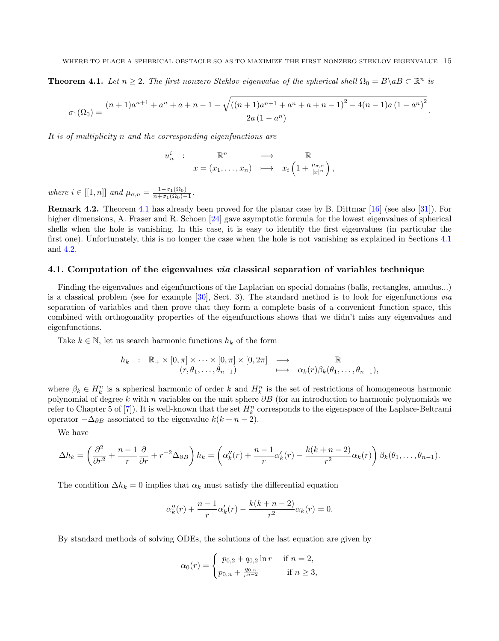<span id="page-14-0"></span>**Theorem 4.1.** Let  $n \geq 2$ . The first nonzero Steklov eigenvalue of the spherical shell  $\Omega_0 = B \setminus aB \subset \mathbb{R}^n$  is

$$
\sigma_1(\Omega_0) = \frac{(n+1)a^{n+1} + a^n + a + n - 1 - \sqrt{((n+1)a^{n+1} + a^n + a + n - 1)^2 - 4(n-1)a(1-a^n)^2}}{2a(1-a^n)}.
$$

It is of multiplicity n and the corresponding eigenfunctions are

$$
u_n^i : \mathbb{R}^n \longrightarrow \mathbb{R}
$$
  

$$
x = (x_1, \dots, x_n) \longmapsto x_i \left(1 + \frac{\mu_{\sigma,n}}{|x|^n}\right),
$$

where  $i \in [[1, n]]$  and  $\mu_{\sigma,n} = \frac{1 - \sigma_1(\Omega_0)}{n + \sigma_1(\Omega_0)}$  $\frac{1-\sigma_1(\Omega_0)}{n+\sigma_1(\Omega_0)-1}.$ 

Remark 4.2. Theorem [4.1](#page-14-0) has already been proved for the planar case by B. Dittmar [\[16\]](#page-19-25) (see also [\[31\]](#page-20-21)). For higher dimensions, A. Fraser and R. Schoen [\[24\]](#page-19-2) gave asymptotic formula for the lowest eigenvalues of spherical shells when the hole is vanishing. In this case, it is easy to identify the first eigenvalues (in particular the first one). Unfortunately, this is no longer the case when the hole is not vanishing as explained in Sections [4.1](#page-14-1) and [4.2.](#page-16-1)

## <span id="page-14-1"></span>4.1. Computation of the eigenvalues via classical separation of variables technique

Finding the eigenvalues and eigenfunctions of the Laplacian on special domains (balls, rectangles, annulus...) is a classical problem (see for example [\[30\]](#page-20-22), Sect. 3). The standard method is to look for eigenfunctions via separation of variables and then prove that they form a complete basis of a convenient function space, this combined with orthogonality properties of the eigenfunctions shows that we didn't miss any eigenvalues and eigenfunctions.

Take  $k \in \mathbb{N}$ , let us search harmonic functions  $h_k$  of the form

$$
h_k : \mathbb{R}_+ \times [0, \pi] \times \cdots \times [0, \pi] \times [0, 2\pi] \longrightarrow \mathbb{R}
$$
  

$$
(r, \theta_1, \ldots, \theta_{n-1}) \longrightarrow \alpha_k(r) \beta_k(\theta_1, \ldots, \theta_{n-1}),
$$

where  $\beta_k \in H_k^n$  is a spherical harmonic of order k and  $H_k^n$  is the set of restrictions of homogeneous harmonic polynomial of degree k with n variables on the unit sphere  $\partial B$  (for an introduction to harmonic polynomials we refer to Chapter 5 of [\[7\]](#page-19-26)). It is well-known that the set  $H_k^n$  corresponds to the eigenspace of the Laplace-Beltrami operator  $-\Delta_{\partial B}$  associated to the eigenvalue  $k(k+n-2)$ .

We have

$$
\Delta h_k = \left(\frac{\partial^2}{\partial r^2} + \frac{n-1}{r}\frac{\partial}{\partial r} + r^{-2}\Delta_{\partial B}\right)h_k = \left(\alpha''_k(r) + \frac{n-1}{r}\alpha'_k(r) - \frac{k(k+n-2)}{r^2}\alpha_k(r)\right)\beta_k(\theta_1,\ldots,\theta_{n-1}).
$$

The condition  $\Delta h_k = 0$  implies that  $\alpha_k$  must satisfy the differential equation

$$
\alpha_k''(r) + \frac{n-1}{r} \alpha_k'(r) - \frac{k(k+n-2)}{r^2} \alpha_k(r) = 0.
$$

By standard methods of solving ODEs, the solutions of the last equation are given by

$$
\alpha_0(r) = \begin{cases} p_{0,2} + q_{0,2} \ln r & \text{if } n = 2, \\ p_{0,n} + \frac{q_{0,n}}{r^{n-2}} & \text{if } n \ge 3, \end{cases}
$$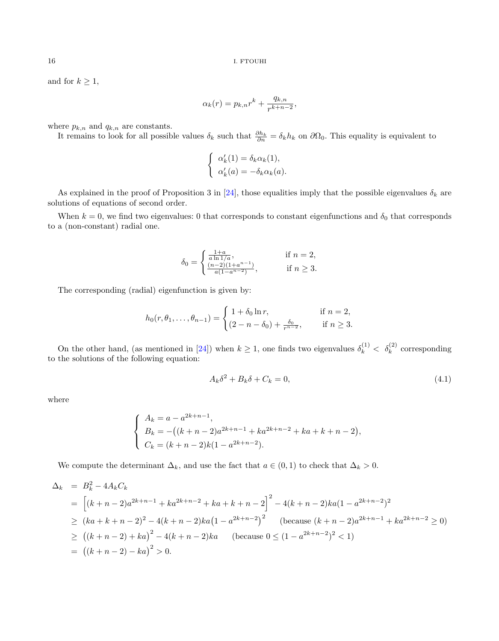and for  $k \geq 1$ ,

$$
\alpha_k(r) = p_{k,n}r^k + \frac{q_{k,n}}{r^{k+n-2}},
$$

where  $p_{k,n}$  and  $q_{k,n}$  are constants.

It remains to look for all possible values  $\delta_k$  such that  $\frac{\partial h_k}{\partial n} = \delta_k h_k$  on  $\partial \Omega_0$ . This equality is equivalent to

$$
\begin{cases}\n\alpha'_k(1) = \delta_k \alpha_k(1), \\
\alpha'_k(a) = -\delta_k \alpha_k(a).\n\end{cases}
$$

As explained in the proof of Proposition 3 in [\[24\]](#page-19-2), those equalities imply that the possible eigenvalues  $\delta_k$  are solutions of equations of second order.

When  $k = 0$ , we find two eigenvalues: 0 that corresponds to constant eigenfunctions and  $\delta_0$  that corresponds to a (non-constant) radial one.

$$
\delta_0 = \begin{cases} \frac{1+a}{a \ln 1/a}, & \text{if } n = 2, \\ \frac{(n-2)(1+a^{n-1})}{a(1-a^{n-2})}, & \text{if } n \ge 3. \end{cases}
$$

The corresponding (radial) eigenfunction is given by:

$$
h_0(r, \theta_1, \dots, \theta_{n-1}) = \begin{cases} 1 + \delta_0 \ln r, & \text{if } n = 2, \\ (2 - n - \delta_0) + \frac{\delta_0}{r^{n-2}}, & \text{if } n \ge 3. \end{cases}
$$

On the other hand, (as mentioned in [\[24\]](#page-19-2)) when  $k \ge 1$ , one finds two eigenvalues  $\delta_k^{(1)} < \delta_k^{(2)}$  corresponding to the solutions of the following equation:

<span id="page-15-0"></span>
$$
A_k \delta^2 + B_k \delta + C_k = 0,\t\t(4.1)
$$

where

$$
\begin{cases}\nA_k = a - a^{2k+n-1}, \\
B_k = -((k+n-2)a^{2k+n-1} + ka^{2k+n-2} + ka + k + n - 2), \\
C_k = (k+n-2)k(1 - a^{2k+n-2}).\n\end{cases}
$$

We compute the determinant  $\Delta_k$ , and use the fact that  $a \in (0,1)$  to check that  $\Delta_k > 0$ .

$$
\Delta_k = B_k^2 - 4A_kC_k
$$
  
=  $\left[ (k+n-2)a^{2k+n-1} + ka^{2k+n-2} + ka + k + n - 2 \right]^2 - 4(k+n-2)ka(1 - a^{2k+n-2})^2$   
 $\geq (ka + k + n - 2)^2 - 4(k + n - 2)ka(1 - a^{2k+n-2})^2$  (because  $(k+n-2)a^{2k+n-1} + ka^{2k+n-2} \geq 0$ )  
 $\geq ((k+n-2) + ka)^2 - 4(k+n-2)ka$  (because  $0 \leq (1 - a^{2k+n-2})^2 < 1$ )  
=  $((k+n-2) - ka)^2 > 0$ .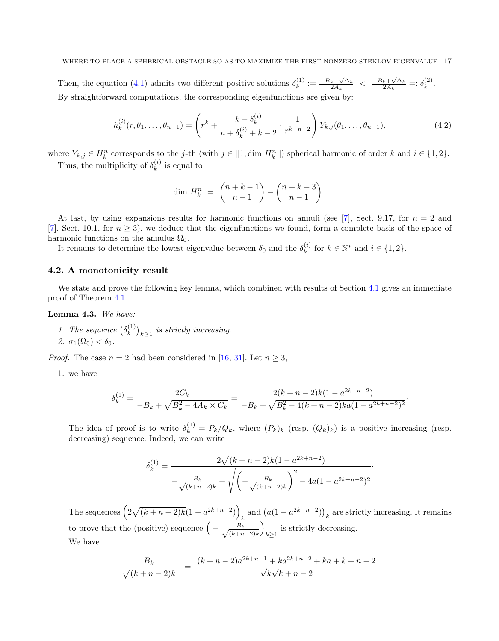Then, the equation [\(4.1\)](#page-15-0) admits two different positive solutions  $\delta_k^{(1)}$  $\zeta_k^{(1)} := \frac{-B_k - \sqrt{\Delta_k}}{2A_k} \ \leq \ \frac{-B_k + \sqrt{\Delta_k}}{2A_k} =: \delta_k^{(2)}$  $\int_k^{(2)}$ . By straightforward computations, the corresponding eigenfunctions are given by:

<span id="page-16-2"></span>
$$
h_k^{(i)}(r, \theta_1, \dots, \theta_{n-1}) = \left(r^k + \frac{k - \delta_k^{(i)}}{n + \delta_k^{(i)} + k - 2} \cdot \frac{1}{r^{k+n-2}}\right) Y_{k,j}(\theta_1, \dots, \theta_{n-1}),
$$
\n(4.2)

where  $Y_{k,j} \in H_k^n$  corresponds to the j-th (with  $j \in [[1, \text{dim } H_k^n]])$  spherical harmonic of order k and  $i \in \{1, 2\}$ .

Thus, the multiplicity of  $\delta_k^{(i)}$  $\kappa^{(i)}$  is equal to

$$
\dim H_k^n = \binom{n+k-1}{n-1} - \binom{n+k-3}{n-1}.
$$

At last, by using expansions results for harmonic functions on annuli (see [\[7\]](#page-19-26), Sect. 9.17, for  $n = 2$  and [\[7\]](#page-19-26), Sect. 10.1, for  $n \geq 3$ ), we deduce that the eigenfunctions we found, form a complete basis of the space of harmonic functions on the annulus  $\Omega_0$ .

It remains to determine the lowest eigenvalue between  $\delta_0$  and the  $\delta_k^{(i)}$  $k^{(i)}$  for  $k \in \mathbb{N}^*$  and  $i \in \{1, 2\}.$ 

## <span id="page-16-1"></span>4.2. A monotonicity result

We state and prove the following key lemma, which combined with results of Section [4.1](#page-14-1) gives an immediate proof of Theorem [4.1.](#page-14-0)

<span id="page-16-0"></span>Lemma 4.3. We have:

1. The sequence  $(\delta_k^{(1)})$  $\binom{1}{k}$  $_{k\geq 1}$  is strictly increasing. 2.  $\sigma_1(\Omega_0) < \delta_0$ .

*Proof.* The case  $n = 2$  had been considered in [\[16,](#page-19-25) [31\]](#page-20-21). Let  $n \geq 3$ ,

1. we have

$$
\delta_k^{(1)} = \frac{2C_k}{-B_k + \sqrt{B_k^2 - 4A_k \times C_k}} = \frac{2(k+n-2)k(1-a^{2k+n-2})}{-B_k + \sqrt{B_k^2 - 4(k+n-2)k a(1-a^{2k+n-2})^2}}
$$

·

The idea of proof is to write  $\delta_k^{(1)} = P_k/Q_k$ , where  $(P_k)_k$  (resp.  $(Q_k)_k$ ) is a positive increasing (resp. decreasing) sequence. Indeed, we can write

$$
\delta_k^{(1)} = \frac{2\sqrt{(k+n-2)k}(1-a^{2k+n-2})}{-\frac{B_k}{\sqrt{(k+n-2)k}} + \sqrt{\left(-\frac{B_k}{\sqrt{(k+n-2)k}}\right)^2 - 4a(1-a^{2k+n-2})^2}}.
$$

The sequences  $(2\sqrt{(k+n-2)k}(1-a^{2k+n-2}))$ and  $(a(1 - a^{2k+n-2}))_k$  are strictly increasing. It remains to prove that the (positive) sequence  $\left(-\frac{B_k}{\sqrt{1-\epsilon}}\right)$  $(k+n-2)$ k  $\setminus$ is strictly decreasing. We have

$$
-\frac{B_k}{\sqrt{(k+n-2)k}} = \frac{(k+n-2)a^{2k+n-1} + ka^{2k+n-2} + ka + k + n - 2}{\sqrt{k}\sqrt{k+n-2}}
$$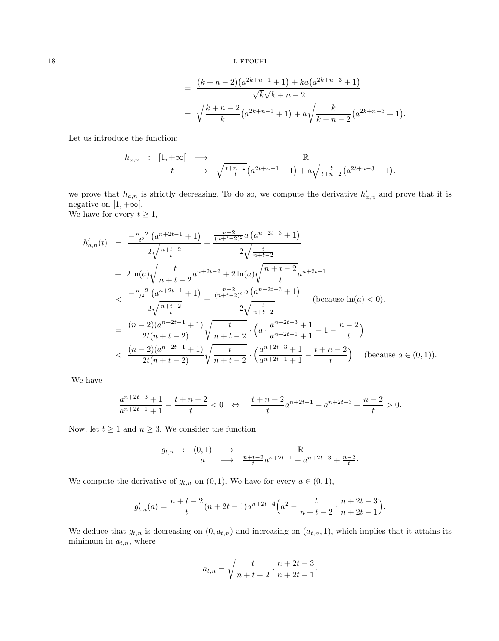$$
= \frac{(k+n-2)(a^{2k+n-1}+1)+ka(a^{2k+n-3}+1)}{\sqrt{k}\sqrt{k+n-2}}
$$
  
=  $\sqrt{\frac{k+n-2}{k}}(a^{2k+n-1}+1)+a\sqrt{\frac{k}{k+n-2}}(a^{2k+n-3}+1).$ 

Let us introduce the function:

ha,n : [1, +∞[ −→ R <sup>t</sup> 7−→ <sup>q</sup> t+n−2 t a <sup>2</sup>t+n−<sup>1</sup> + 1 + a q <sup>t</sup> t+n−2 a <sup>2</sup>t+n−<sup>3</sup> + 1 .

we prove that  $h_{a,n}$  is strictly decreasing. To do so, we compute the derivative  $h'_{a,n}$  and prove that it is negative on  $[1, +\infty[$ . We have for every  $t \geq 1$ ,

$$
h'_{a,n}(t) = \frac{-\frac{n-2}{t^2} (a^{n+2t-1} + 1)}{2\sqrt{\frac{n+t-2}{t}}} + \frac{\frac{n-2}{(n+t-2)^2} a (a^{n+2t-3} + 1)}{2\sqrt{\frac{t}{n+t-2}}} + 2\ln(a)\sqrt{\frac{t}{n+t-2}} a^{n+2t-2} + 2\ln(a)\sqrt{\frac{n+t-2}{t}} a^{n+2t-1} < \frac{-\frac{n-2}{t^2} (a^{n+2t-1} + 1)}{2\sqrt{\frac{n+t-2}{t}}} + \frac{\frac{n-2}{(n+t-2)^2} a (a^{n+2t-3} + 1)}{2\sqrt{\frac{t}{n+t-2}}} \quad \text{(because } \ln(a) < 0). = \frac{(n-2)(a^{n+2t-1} + 1)}{2t(n+t-2)} \sqrt{\frac{t}{n+t-2}} \cdot \left(a \cdot \frac{a^{n+2t-3} + 1}{a^{n+2t-1} + 1} - 1 - \frac{n-2}{t}\right) < \frac{(n-2)(a^{n+2t-1} + 1)}{2t(n+t-2)} \sqrt{\frac{t}{n+t-2}} \cdot \left(\frac{a^{n+2t-3} + 1}{a^{n+2t-1} + 1} - \frac{t+n-2}{t}\right) \quad \text{(because } a \in (0,1)).
$$

We have

$$
\frac{a^{n+2t-3}+1}{a^{n+2t-1}+1}-\frac{t+n-2}{t}<0\;\;\Leftrightarrow\;\;\;\frac{t+n-2}{t}a^{n+2t-1}-a^{n+2t-3}+\frac{n-2}{t}>0.
$$

Now, let  $t \geq 1$  and  $n \geq 3$ . We consider the function

$$
g_{t,n} : (0,1) \longrightarrow \mathbb{R}
$$
  

$$
a \longmapsto \frac{n+t-2}{t}a^{n+2t-1} - a^{n+2t-3} + \frac{n-2}{t}.
$$

We compute the derivative of  $g_{t,n}$  on  $(0, 1)$ . We have for every  $a \in (0, 1)$ ,

$$
g'_{t,n}(a) = \frac{n+t-2}{t}(n+2t-1)a^{n+2t-4}\left(a^2 - \frac{t}{n+t-2} \cdot \frac{n+2t-3}{n+2t-1}\right).
$$

We deduce that  $g_{t,n}$  is decreasing on  $(0, a_{t,n})$  and increasing on  $(a_{t,n}, 1)$ , which implies that it attains its minimum in  $a_{t,n}$ , where

$$
a_{t,n}=\sqrt{\frac{t}{n+t-2}\cdot\frac{n+2t-3}{n+2t-1}}.
$$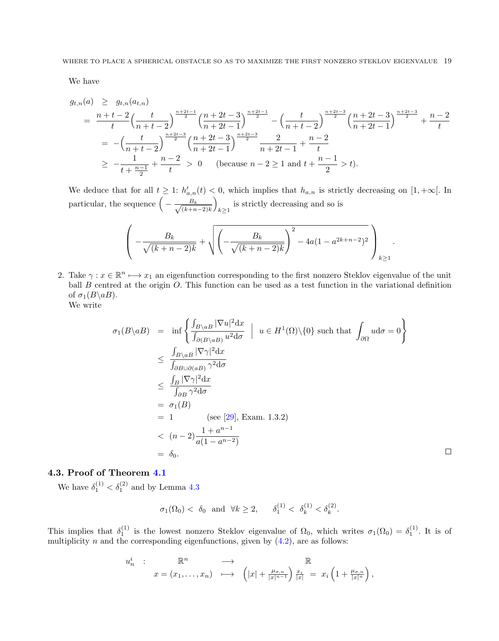We have

$$
g_{t,n}(a) \geq g_{t,n}(a_{t,n})
$$
  
= 
$$
\frac{n+t-2}{t} \left(\frac{t}{n+t-2}\right)^{\frac{n+2t-1}{2}} \left(\frac{n+2t-3}{n+2t-1}\right)^{\frac{n+2t-1}{2}} - \left(\frac{t}{n+t-2}\right)^{\frac{n+2t-3}{2}} \left(\frac{n+2t-3}{n+2t-1}\right)^{\frac{n+2t-3}{2}} + \frac{n-2}{t}
$$
  
= 
$$
-\left(\frac{t}{n+t-2}\right)^{\frac{n+2t-3}{2}} \left(\frac{n+2t-3}{n+2t-1}\right)^{\frac{n+2t-3}{2}} \frac{2}{n+2t-1} + \frac{n-2}{t}
$$
  

$$
\geq -\frac{1}{t+\frac{n-1}{2}} + \frac{n-2}{t} > 0 \quad \text{(because } n-2 \geq 1 \text{ and } t+\frac{n-1}{2} > t).
$$

We deduce that for all  $t \geq 1$ :  $h'_{a,n}(t) < 0$ , which implies that  $h_{a,n}$  is strictly decreasing on  $[1, +\infty[$ . In particular, the sequence  $\left(-\frac{B_k}{\sqrt{1-\epsilon}}\right)$  $(k+n-2)$ k  $\setminus$ is strictly decreasing and so is  $k \geq 1$ 

$$
\left(-\frac{B_k}{\sqrt{(k+n-2)k}} + \sqrt{\left(-\frac{B_k}{\sqrt{(k+n-2)k}}\right)^2 - 4a(1-a^{2k+n-2})^2}\right)_{k \ge 1}
$$

.

 $\Box$ 

2. Take  $\gamma: x \in \mathbb{R}^n \mapsto x_1$  an eigenfunction corresponding to the first nonzero Steklov eigenvalue of the unit ball  $B$  centred at the origin  $O$ . This function can be used as a test function in the variational definition of  $\sigma_1(B \backslash aB)$ .

We write

$$
\sigma_1(B \setminus aB) = \inf \left\{ \frac{\int_{B \setminus aB} |\nabla u|^2 dx}{\int_{\partial (B \setminus aB)} u^2 d\sigma} \middle| u \in H^1(\Omega) \setminus \{0\} \text{ such that } \int_{\partial \Omega} u d\sigma = 0 \right\}
$$
  
\n
$$
\leq \frac{\int_{B \setminus aB} |\nabla \gamma|^2 dx}{\int_{\partial B \setminus \partial (aB)} \gamma^2 d\sigma}
$$
  
\n
$$
\leq \frac{\int_B |\nabla \gamma|^2 dx}{\int_{\partial B} \gamma^2 d\sigma}
$$
  
\n
$$
= \sigma_1(B)
$$
  
\n
$$
= 1 \qquad \text{(see [29], Exam. 1.3.2)}
$$
  
\n
$$
< (n-2) \frac{1 + a^{n-1}}{a(1 - a^{n-2})}
$$
  
\n
$$
= \delta_0.
$$

## 4.3. Proof of Theorem [4.1](#page-14-0)

We have  $\delta_1^{(1)} < \delta_1^{(2)}$  and by Lemma [4.3](#page-16-0)

$$
\sigma_1(\Omega_0) < \delta_0 \text{ and } \forall k \ge 2, \quad \delta_1^{(1)} < \delta_k^{(1)} < \delta_k^{(2)}.
$$

This implies that  $\delta_1^{(1)}$  is the lowest nonzero Steklov eigenvalue of  $\Omega_0$ , which writes  $\sigma_1(\Omega_0) = \delta_1^{(1)}$ . It is of multiplicity n and the corresponding eigenfunctions, given by  $(4.2)$ , are as follows:

$$
u_n^i : \mathbb{R}^n \longrightarrow \mathbb{R}
$$
  

$$
x = (x_1, \dots, x_n) \longrightarrow (|x| + \frac{\mu_{\sigma,n}}{|x|^{n-1}}) \frac{x_i}{|x|} = x_i \left(1 + \frac{\mu_{\sigma,n}}{|x|^n}\right),
$$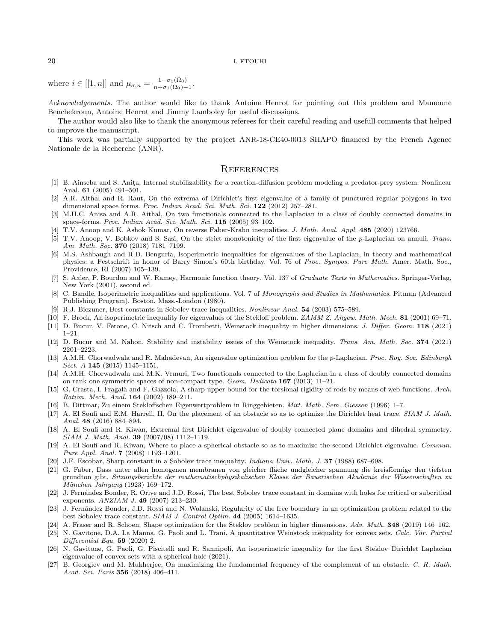where  $i \in [[1, n]]$  and  $\mu_{\sigma, n} = \frac{1 - \sigma_1(\Omega_0)}{n + \sigma_1(\Omega_0)}$  $\frac{1-\sigma_1(\Omega_0)}{n+\sigma_1(\Omega_0)-1}.$ 

Acknowledgements. The author would like to thank Antoine Henrot for pointing out this problem and Mamoune Benchekroun, Antoine Henrot and Jimmy Lamboley for useful discussions.

The author would also like to thank the anonymous referees for their careful reading and usefull comments that helped to improve the manuscript.

This work was partially supported by the project ANR-18-CE40-0013 SHAPO financed by the French Agence Nationale de la Recherche (ANR).

#### **REFERENCES**

- <span id="page-19-11"></span>[1] B. Ainseba and S. Anita, Internal stabilizability for a reaction-diffusion problem modeling a predator-prey system. Nonlinear Anal. 61 (2005) 491–501.
- <span id="page-19-22"></span>[2] A.R. Aithal and R. Raut, On the extrema of Dirichlet's first eigenvalue of a family of punctured regular polygons in two dimensional space forms. Proc. Indian Acad. Sci. Math. Sci. 122 (2012) 257–281.
- <span id="page-19-20"></span>[3] M.H.C. Anisa and A.R. Aithal, On two functionals connected to the Laplacian in a class of doubly connected domains in space-forms. Proc. Indian Acad. Sci. Math. Sci. 115 (2005) 93–102.
- <span id="page-19-8"></span>[4] T.V. Anoop and K. Ashok Kumar, On reverse Faber-Krahn inequalities. J. Math. Anal. Appl. 485 (2020) 123766.
- <span id="page-19-23"></span>[5] T.V. Anoop, V. Bobkov and S. Sasi, On the strict monotonicity of the first eigenvalue of the p-Laplacian on annuli. Trans. Am. Math. Soc. 370 (2018) 7181–7199.
- <span id="page-19-9"></span>[6] M.S. Ashbaugh and R.D. Benguria, Isoperimetric inequalities for eigenvalues of the Laplacian, in theory and mathematical physics: a Festschrift in honor of Barry Simon's 60th birthday. Vol. 76 of Proc. Sympos. Pure Math. Amer. Math. Soc. Providence, RI (2007) 105–139.
- <span id="page-19-26"></span>[7] S. Axler, P. Bourdon and W. Ramey, Harmonic function theory. Vol. 137 of Graduate Texts in Mathematics. Springer-Verlag, New York (2001), second ed.
- <span id="page-19-6"></span>[8] C. Bandle, Isoperimetric inequalities and applications. Vol. 7 of Monographs and Studies in Mathematics. Pitman (Advanced Publishing Program), Boston, Mass.-London (1980).
- <span id="page-19-12"></span>[9] R.J. Biezuner, Best constants in Sobolev trace inequalities. Nonlinear Anal. 54 (2003) 575–589.
- <span id="page-19-1"></span>[10] F. Brock, An isoperimetric inequality for eigenvalues of the Stekloff problem. ZAMM Z. Angew. Math. Mech. 81 (2001) 69-71.
- <span id="page-19-3"></span>[11] D. Bucur, V. Ferone, C. Nitsch and C. Trombetti, Weinstock inequality in higher dimensions. J. Differ. Geom. 118 (2021) 1–21.
- <span id="page-19-5"></span>[12] D. Bucur and M. Nahon, Stability and instability issues of the Weinstock inequality. Trans. Am. Math. Soc. 374 (2021) 2201–2223.
- <span id="page-19-24"></span>[13] A.M.H. Chorwadwala and R. Mahadevan, An eigenvalue optimization problem for the p-Laplacian. Proc. Roy. Soc. Edinburgh Sect. A 145 (2015) 1145–1151.
- <span id="page-19-21"></span>[14] A.M.H. Chorwadwala and M.K. Vemuri, Two functionals connected to the Laplacian in a class of doubly connected domains on rank one symmetric spaces of non-compact type. Geom. Dedicata 167 (2013) 11–21.
- <span id="page-19-7"></span>[15] G. Crasta, I. Fragalà and F. Gazzola, A sharp upper bound for the torsional rigidity of rods by means of web functions. Arch. Ration. Mech. Anal. 164 (2002) 189–211.
- <span id="page-19-25"></span>[16] B. Dittmar, Zu einem Stekloffschen Eigenwertproblem in Ringgebieten. Mitt. Math. Sem. Giessen (1996) 1–7.
- <span id="page-19-17"></span>[17] A. El Soufi and E.M. Harrell, II, On the placement of an obstacle so as to optimize the Dirichlet heat trace. SIAM J. Math. Anal. 48 (2016) 884–894.
- <span id="page-19-18"></span>[18] A. El Soufi and R. Kiwan, Extremal first Dirichlet eigenvalue of doubly connected plane domains and dihedral symmetry. SIAM J. Math. Anal. 39 (2007/08) 1112–1119.
- <span id="page-19-10"></span>[19] A. El Soufi and R. Kiwan, Where to place a spherical obstacle so as to maximize the second Dirichlet eigenvalue. Commun. Pure Appl. Anal. 7 (2008) 1193–1201.
- <span id="page-19-13"></span>[20] J.F. Escobar, Sharp constant in a Sobolev trace inequality. Indiana Univ. Math. J. 37 (1988) 687–698.
- <span id="page-19-0"></span>[21] G. Faber, Dass unter allen homogenen membranen von gleicher fläche undgleicher spannung die kreisförmige den tiefsten grundton gibt. Sitzungsberichte der mathematischphysikalischen Klasse der Bauerischen Akademie der Wissenschaften zu München Jahrgang (1923) 169-172.
- <span id="page-19-14"></span>[22] J. Fernández Bonder, R. Orive and J.D. Rossi, The best Sobolev trace constant in domains with holes for critical or subcritical exponents. ANZIAM J. 49 (2007) 213–230.
- <span id="page-19-15"></span>[23] J. Fernández Bonder, J.D. Rossi and N. Wolanski, Regularity of the free boundary in an optimization problem related to the best Sobolev trace constant. SIAM J. Control Optim. 44 (2005) 1614–1635.
- <span id="page-19-2"></span>[24] A. Fraser and R. Schoen, Shape optimization for the Steklov problem in higher dimensions. Adv. Math. 348 (2019) 146–162.
- <span id="page-19-4"></span>[25] N. Gavitone, D.A. La Manna, G. Paoli and L. Trani, A quantitative Weinstock inequality for convex sets. Calc. Var. Partial Differential Equ. 59 (2020) 2.
- <span id="page-19-16"></span>[26] N. Gavitone, G. Paoli, G. Piscitelli and R. Sannipoli, An isoperimetric inequality for the first Steklov–Dirichlet Laplacian eigenvalue of convex sets with a spherical hole (2021).
- <span id="page-19-19"></span>[27] B. Georgiev and M. Mukherjee, On maximizing the fundamental frequency of the complement of an obstacle. C. R. Math. Acad. Sci. Paris 356 (2018) 406–411.